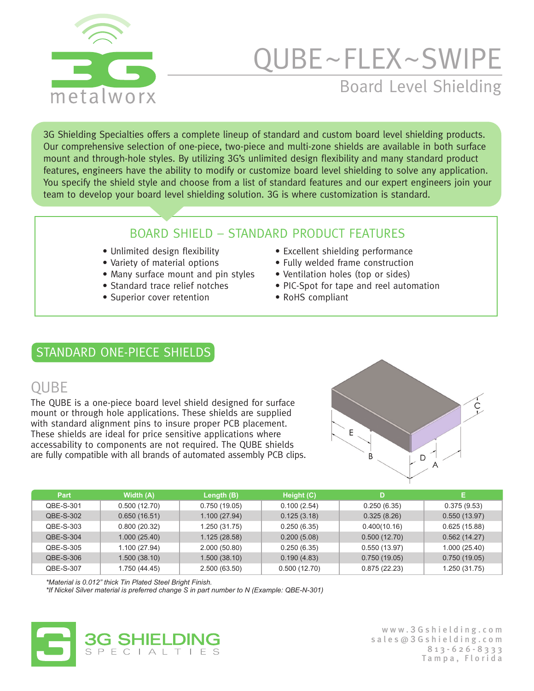

# Board Level Shielding  $\sf{UBE}\text{-}\sf{FLEX}\text{-}\sf{SWIPE}$

3G Shielding Specialties offers a complete lineup of standard and custom board level shielding products. Our comprehensive selection of one-piece, two-piece and multi-zone shields are available in both surface mount and through-hole styles. By utilizing 3G's unlimited design flexibility and many standard product features, engineers have the ability to modify or customize board level shielding to solve any application. You specify the shield style and choose from a list of standard features and our expert engineers join your team to develop your board level shielding solution. 3G is where customization is standard.

#### BOARD SHIELD – STANDARD PRODUCT FEATURES

- 
- 
- Many surface mount and pin styles Ventilation holes (top or sides)

360C

- 
- Superior cover retention RoHS compliant
- Unlimited design flexibility Excellent shielding performance
- Variety of material options Fully welded frame construction
	-
- Standard trace relief notches PIC-Spot for tape and reel automation
	-

#### STANDARD ONE-PIECE SHIELDS

#### QUBE

The QUBE is a one-piece board level shield designed for surface mount or through hole applications. These shields are supplied with standard alignment pins to insure proper PCB placement. These shields are ideal for price sensitive applications where accessability to components are not required. The QUBE shields are fully compatible with all brands of automated assembly PCB clips.



| Part      | Width (A)     | Length (B)    | Height (C)   | D            | E.            |
|-----------|---------------|---------------|--------------|--------------|---------------|
| QBE-S-301 | 0.500(12.70)  | 0.750(19.05)  | 0.100(2.54)  | 0.250(6.35)  | 0.375(9.53)   |
| QBE-S-302 | 0.650(16.51)  | 1.100(27.94)  | 0.125(3.18)  | 0.325(8.26)  | 0.550(13.97)  |
| QBE-S-303 | 0.800(20.32)  | 1.250(31.75)  | 0.250(6.35)  | 0.400(10.16) | 0.625(15.88)  |
| QBE-S-304 | 1.000(25.40)  | 1.125(28.58)  | 0.200(5.08)  | 0.500(12.70) | 0.562(14.27)  |
| QBE-S-305 | 1.100(27.94)  | 2.000(50.80)  | 0.250(6.35)  | 0.550(13.97) | 1.000(25.40)  |
| QBE-S-306 | 1.500(38.10)  | 1.500(38.10)  | 0.190(4.83)  | 0.750(19.05) | 0.750(19.05)  |
| QBE-S-307 | 1.750 (44.45) | 2.500 (63.50) | 0.500(12.70) | 0.875(22.23) | 1.250 (31.75) |

*\*Material is 0.012" thick Tin Plated Steel Bright Finish.* 

*\*If Nickel Silver material is preferred change S in part number to N (Example: QBE-N-301)*



www. **3** Gshielding.com sales@ **3** Gshielding.com 813-626-8333 Tampa, Florida